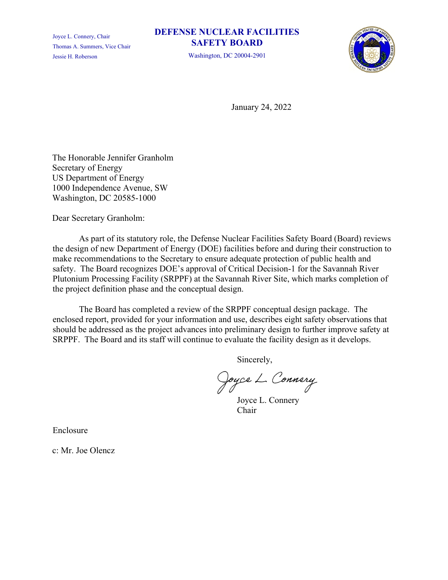Joyce L. Connery, Chair Thomas A. Summers, Vice Chair Jessie H. Roberson

### **DEFENSE NUCLEAR FACILITIES SAFETY BOARD**

Washington, DC 20004-2901



January 24, 2022

The Honorable Jennifer Granholm Secretary of Energy US Department of Energy 1000 Independence Avenue, SW Washington, DC 20585-1000

Dear Secretary Granholm:

As part of its statutory role, the Defense Nuclear Facilities Safety Board (Board) reviews the design of new Department of Energy (DOE) facilities before and during their construction to make recommendations to the Secretary to ensure adequate protection of public health and safety. The Board recognizes DOE's approval of Critical Decision-1 for the Savannah River Plutonium Processing Facility (SRPPF) at the Savannah River Site, which marks completion of the project definition phase and the conceptual design.

The Board has completed a review of the SRPPF conceptual design package. The enclosed report, provided for your information and use, describes eight safety observations that should be addressed as the project advances into preliminary design to further improve safety at SRPPF. The Board and its staff will continue to evaluate the facility design as it develops.

Sincerely,

Joyce L. Connery

Joyce L. Connery Chair

Enclosure

c: Mr. Joe Olencz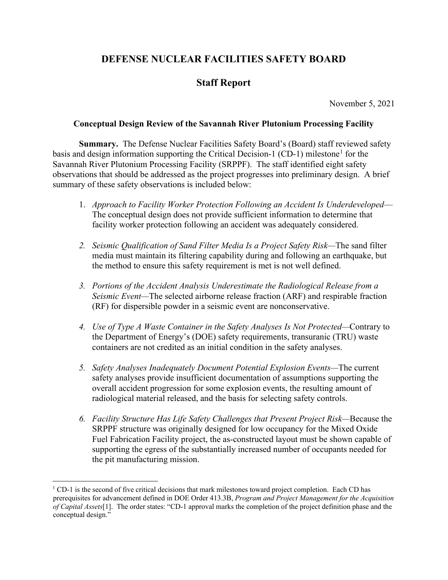# **DEFENSE NUCLEAR FACILITIES SAFETY BOARD**

## **Staff Report**

November 5, 2021

#### **Conceptual Design Review of the Savannah River Plutonium Processing Facility**

**Summary.** The Defense Nuclear Facilities Safety Board's (Board) staff reviewed safety basis and design information supporting the Critical Decision-[1](#page-1-0) (CD-1) milestone<sup>1</sup> for the Savannah River Plutonium Processing Facility (SRPPF). The staff identified eight safety observations that should be addressed as the project progresses into preliminary design. A brief summary of these safety observations is included below:

- 1. *Approach to Facility Worker Protection Following an Accident Is Underdeveloped* The conceptual design does not provide sufficient information to determine that facility worker protection following an accident was adequately considered.
- *2. Seismic Qualification of Sand Filter Media Is a Project Safety Risk—*The sand filter media must maintain its filtering capability during and following an earthquake, but the method to ensure this safety requirement is met is not well defined.
- *3. Portions of the Accident Analysis Underestimate the Radiological Release from a Seismic Event—*The selected airborne release fraction (ARF) and respirable fraction (RF) for dispersible powder in a seismic event are nonconservative.
- *4. Use of Type A Waste Container in the Safety Analyses Is Not Protected—*Contrary to the Department of Energy's (DOE) safety requirements, transuranic (TRU) waste containers are not credited as an initial condition in the safety analyses.
- *5. Safety Analyses Inadequately Document Potential Explosion Events—*The current safety analyses provide insufficient documentation of assumptions supporting the overall accident progression for some explosion events, the resulting amount of radiological material released, and the basis for selecting safety controls.
- *6. Facility Structure Has Life Safety Challenges that Present Project Risk—*Because the SRPPF structure was originally designed for low occupancy for the Mixed Oxide Fuel Fabrication Facility project, the as-constructed layout must be shown capable of supporting the egress of the substantially increased number of occupants needed for the pit manufacturing mission.

<span id="page-1-0"></span> $1^{\circ}$  CD-1 is the second of five critical decisions that mark milestones toward project completion. Each CD has prerequisites for advancement defined in DOE Order 413.3B, *Program and Project Management for the Acquisition of Capital Assets*[1]. The order states: "CD-1 approval marks the completion of the project definition phase and the conceptual design."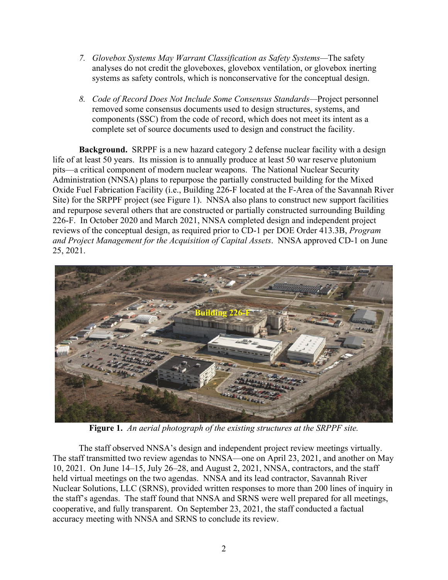- *7. Glovebox Systems May Warrant Classification as Safety Systems—*The safety analyses do not credit the gloveboxes, glovebox ventilation, or glovebox inerting systems as safety controls, which is nonconservative for the conceptual design.
- *8. Code of Record Does Not Include Some Consensus Standards—*Project personnel removed some consensus documents used to design structures, systems, and components (SSC) from the code of record, which does not meet its intent as a complete set of source documents used to design and construct the facility.

**Background.** SRPPF is a new hazard category 2 defense nuclear facility with a design life of at least 50 years. Its mission is to annually produce at least 50 war reserve plutonium pits—a critical component of modern nuclear weapons. The National Nuclear Security Administration (NNSA) plans to repurpose the partially constructed building for the Mixed Oxide Fuel Fabrication Facility (i.e., Building 226‑F located at the F-Area of the Savannah River Site) for the SRPPF project (see Figure 1). NNSA also plans to construct new support facilities and repurpose several others that are constructed or partially constructed surrounding Building 226-F. In October 2020 and March 2021, NNSA completed design and independent project reviews of the conceptual design, as required prior to CD‑1 per DOE Order 413.3B, *Program and Project Management for the Acquisition of Capital Assets*. NNSA approved CD-1 on June 25, 2021.



**Figure 1.** *An aerial photograph of the existing structures at the SRPPF site.*

The staff observed NNSA's design and independent project review meetings virtually. The staff transmitted two review agendas to NNSA—one on April 23, 2021, and another on May 10, 2021. On June 14–15, July 26–28, and August 2, 2021, NNSA, contractors, and the staff held virtual meetings on the two agendas. NNSA and its lead contractor, Savannah River Nuclear Solutions, LLC (SRNS), provided written responses to more than 200 lines of inquiry in the staff's agendas. The staff found that NNSA and SRNS were well prepared for all meetings, cooperative, and fully transparent. On September 23, 2021, the staff conducted a factual accuracy meeting with NNSA and SRNS to conclude its review.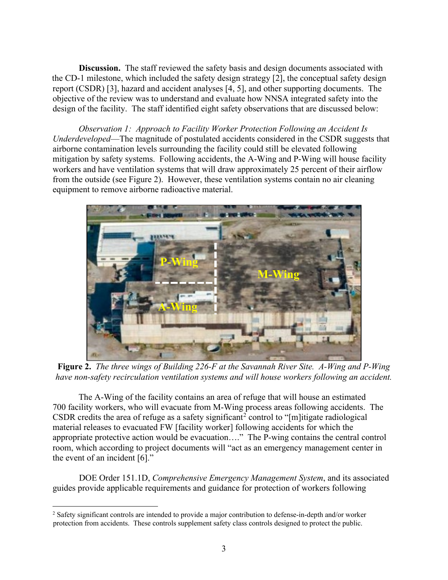**Discussion.** The staff reviewed the safety basis and design documents associated with the CD-1 milestone, which included the safety design strategy [2], the conceptual safety design report (CSDR) [3], hazard and accident analyses [4, 5], and other supporting documents. The objective of the review was to understand and evaluate how NNSA integrated safety into the design of the facility. The staff identified eight safety observations that are discussed below:

*Observation 1: Approach to Facility Worker Protection Following an Accident Is Underdeveloped*—The magnitude of postulated accidents considered in the CSDR suggests that airborne contamination levels surrounding the facility could still be elevated following mitigation by safety systems. Following accidents, the A-Wing and P-Wing will house facility workers and have ventilation systems that will draw approximately 25 percent of their airflow from the outside (see Figure 2). However, these ventilation systems contain no air cleaning equipment to remove airborne radioactive material.



**Figure 2.** *The three wings of Building 226-F at the Savannah River Site. A-Wing and P-Wing have non-safety recirculation ventilation systems and will house workers following an accident.*

The A-Wing of the facility contains an area of refuge that will house an estimated 700 facility workers, who will evacuate from M-Wing process areas following accidents. The CSDR credits the area of refuge as a safety significant<sup>[2](#page-3-0)</sup> control to "[m]itigate radiological material releases to evacuated FW [facility worker] following accidents for which the appropriate protective action would be evacuation…." The P-wing contains the central control room, which according to project documents will "act as an emergency management center in the event of an incident [6]."

DOE Order 151.1D, *Comprehensive Emergency Management System*, and its associated guides provide applicable requirements and guidance for protection of workers following

<span id="page-3-0"></span><sup>2</sup> Safety significant controls are intended to provide a major contribution to defense-in-depth and/or worker protection from accidents. These controls supplement safety class controls designed to protect the public.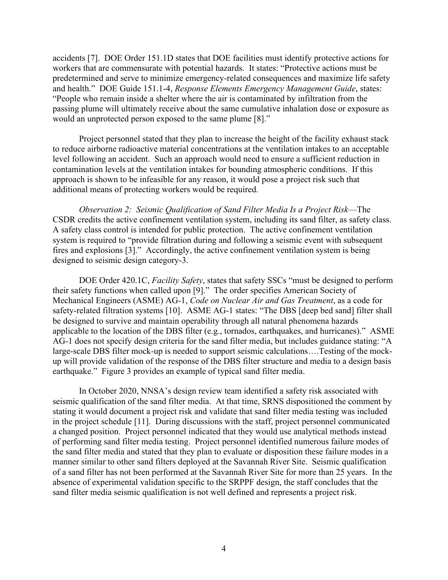accidents [7]. DOE Order 151.1D states that DOE facilities must identify protective actions for workers that are commensurate with potential hazards. It states: "Protective actions must be predetermined and serve to minimize emergency-related consequences and maximize life safety and health." DOE Guide 151.1-4, *Response Elements Emergency Management Guide*, states: "People who remain inside a shelter where the air is contaminated by infiltration from the passing plume will ultimately receive about the same cumulative inhalation dose or exposure as would an unprotected person exposed to the same plume [8]."

Project personnel stated that they plan to increase the height of the facility exhaust stack to reduce airborne radioactive material concentrations at the ventilation intakes to an acceptable level following an accident. Such an approach would need to ensure a sufficient reduction in contamination levels at the ventilation intakes for bounding atmospheric conditions. If this approach is shown to be infeasible for any reason, it would pose a project risk such that additional means of protecting workers would be required.

*Observation 2: Seismic Qualification of Sand Filter Media Is a Project Risk*—The CSDR credits the active confinement ventilation system, including its sand filter, as safety class. A safety class control is intended for public protection. The active confinement ventilation system is required to "provide filtration during and following a seismic event with subsequent fires and explosions [3]." Accordingly, the active confinement ventilation system is being designed to seismic design category-3.

DOE Order 420.1C, *Facility Safety*, states that safety SSCs "must be designed to perform their safety functions when called upon [9]." The order specifies American Society of Mechanical Engineers (ASME) AG-1, *Code on Nuclear Air and Gas Treatment*, as a code for safety-related filtration systems [10]. ASME AG-1 states: "The DBS [deep bed sand] filter shall be designed to survive and maintain operability through all natural phenomena hazards applicable to the location of the DBS filter (e.g., tornados, earthquakes, and hurricanes)." ASME AG-1 does not specify design criteria for the sand filter media, but includes guidance stating: "A large-scale DBS filter mock-up is needed to support seismic calculations….Testing of the mockup will provide validation of the response of the DBS filter structure and media to a design basis earthquake." Figure 3 provides an example of typical sand filter media.

In October 2020, NNSA's design review team identified a safety risk associated with seismic qualification of the sand filter media. At that time, SRNS dispositioned the comment by stating it would document a project risk and validate that sand filter media testing was included in the project schedule [11]. During discussions with the staff, project personnel communicated a changed position. Project personnel indicated that they would use analytical methods instead of performing sand filter media testing. Project personnel identified numerous failure modes of the sand filter media and stated that they plan to evaluate or disposition these failure modes in a manner similar to other sand filters deployed at the Savannah River Site. Seismic qualification of a sand filter has not been performed at the Savannah River Site for more than 25 years. In the absence of experimental validation specific to the SRPPF design, the staff concludes that the sand filter media seismic qualification is not well defined and represents a project risk.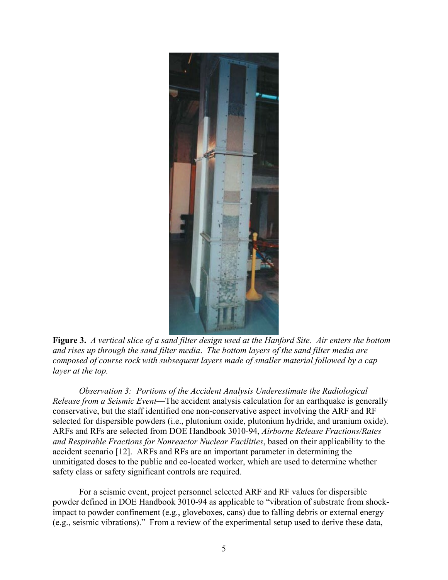

**Figure 3.** *A vertical slice of a sand filter design used at the Hanford Site. Air enters the bottom and rises up through the sand filter media*. *The bottom layers of the sand filter media are composed of course rock with subsequent layers made of smaller material followed by a cap layer at the top.*

*Observation 3: Portions of the Accident Analysis Underestimate the Radiological Release from a Seismic Event*—The accident analysis calculation for an earthquake is generally conservative, but the staff identified one non-conservative aspect involving the ARF and RF selected for dispersible powders (i.e., plutonium oxide, plutonium hydride, and uranium oxide). ARFs and RFs are selected from DOE Handbook 3010‑94, *Airborne Release Fractions/Rates and Respirable Fractions for Nonreactor Nuclear Facilities*, based on their applicability to the accident scenario [12]. ARFs and RFs are an important parameter in determining the unmitigated doses to the public and co-located worker, which are used to determine whether safety class or safety significant controls are required.

For a seismic event, project personnel selected ARF and RF values for dispersible powder defined in DOE Handbook 3010-94 as applicable to "vibration of substrate from shockimpact to powder confinement (e.g., gloveboxes, cans) due to falling debris or external energy (e.g., seismic vibrations)." From a review of the experimental setup used to derive these data,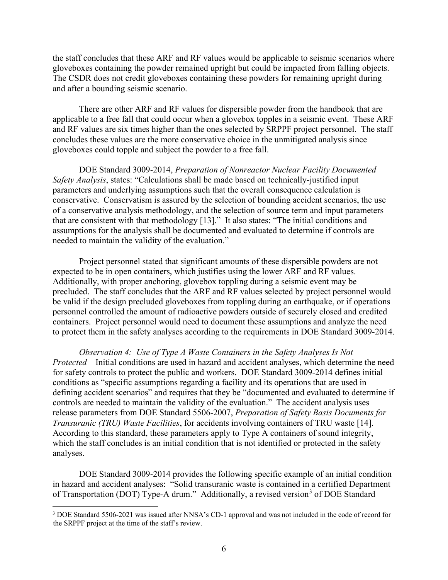the staff concludes that these ARF and RF values would be applicable to seismic scenarios where gloveboxes containing the powder remained upright but could be impacted from falling objects. The CSDR does not credit gloveboxes containing these powders for remaining upright during and after a bounding seismic scenario.

There are other ARF and RF values for dispersible powder from the handbook that are applicable to a free fall that could occur when a glovebox topples in a seismic event. These ARF and RF values are six times higher than the ones selected by SRPPF project personnel. The staff concludes these values are the more conservative choice in the unmitigated analysis since gloveboxes could topple and subject the powder to a free fall.

DOE Standard 3009-2014, *Preparation of Nonreactor Nuclear Facility Documented Safety Analysis*, states: "Calculations shall be made based on technically-justified input parameters and underlying assumptions such that the overall consequence calculation is conservative. Conservatism is assured by the selection of bounding accident scenarios, the use of a conservative analysis methodology, and the selection of source term and input parameters that are consistent with that methodology [13]." It also states: "The initial conditions and assumptions for the analysis shall be documented and evaluated to determine if controls are needed to maintain the validity of the evaluation."

Project personnel stated that significant amounts of these dispersible powders are not expected to be in open containers, which justifies using the lower ARF and RF values. Additionally, with proper anchoring, glovebox toppling during a seismic event may be precluded. The staff concludes that the ARF and RF values selected by project personnel would be valid if the design precluded gloveboxes from toppling during an earthquake, or if operations personnel controlled the amount of radioactive powders outside of securely closed and credited containers. Project personnel would need to document these assumptions and analyze the need to protect them in the safety analyses according to the requirements in DOE Standard 3009-2014.

*Observation 4: Use of Type A Waste Containers in the Safety Analyses Is Not Protected*—Initial conditions are used in hazard and accident analyses, which determine the need for safety controls to protect the public and workers. DOE Standard 3009-2014 defines initial conditions as "specific assumptions regarding a facility and its operations that are used in defining accident scenarios" and requires that they be "documented and evaluated to determine if controls are needed to maintain the validity of the evaluation." The accident analysis uses release parameters from DOE Standard 5506‑2007, *Preparation of Safety Basis Documents for Transuranic (TRU) Waste Facilities*, for accidents involving containers of TRU waste [14]. According to this standard, these parameters apply to Type A containers of sound integrity, which the staff concludes is an initial condition that is not identified or protected in the safety analyses.

DOE Standard 3009-2014 provides the following specific example of an initial condition in hazard and accident analyses: "Solid transuranic waste is contained in a certified Department of Transportation (DOT) Type-A drum." Additionally, a revised version<sup>[3](#page-6-0)</sup> of DOE Standard

<span id="page-6-0"></span><sup>3</sup> DOE Standard 5506-2021 was issued after NNSA's CD-1 approval and was not included in the code of record for the SRPPF project at the time of the staff's review.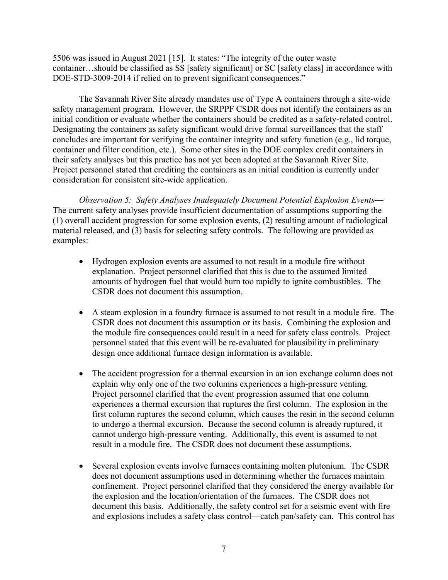5506 was issued in August 2021 [15]. It states: "The integrity of the outer waste container…should be classified as SS [safety significant] or SC [safety class] in accordance with DOE-STD-3009-2014 if relied on to prevent significant consequences."

The Savannah River Site already mandates use of Type A containers through a site-wide safety management program. However, the SRPPF CSDR does not identify the containers as an initial condition or evaluate whether the containers should be credited as a safety-related control. Designating the containers as safety significant would drive formal surveillances that the staff concludes are important for verifying the container integrity and safety function (e.g., lid torque, container and filter condition, etc.). Some other sites in the DOE complex credit containers in their safety analyses but this practice has not yet been adopted at the Savannah River Site. Project personnel stated that crediting the containers as an initial condition is currently under consideration for consistent site-wide application.

*Observation 5: Safety Analyses Inadequately Document Potential Explosion Events*— The current safety analyses provide insufficient documentation of assumptions supporting the (1) overall accident progression for some explosion events, (2) resulting amount of radiological material released, and (3) basis for selecting safety controls. The following are provided as examples:

- Hydrogen explosion events are assumed to not result in a module fire without explanation. Project personnel clarified that this is due to the assumed limited amounts of hydrogen fuel that would burn too rapidly to ignite combustibles. The CSDR does not document this assumption.
- A steam explosion in a foundry furnace is assumed to not result in a module fire. The CSDR does not document this assumption or its basis. Combining the explosion and the module fire consequences could result in a need for safety class controls. Project personnel stated that this event will be re-evaluated for plausibility in preliminary design once additional furnace design information is available.
- The accident progression for a thermal excursion in an ion exchange column does not explain why only one of the two columns experiences a high-pressure venting. Project personnel clarified that the event progression assumed that one column experiences a thermal excursion that ruptures the first column. The explosion in the first column ruptures the second column, which causes the resin in the second column to undergo a thermal excursion. Because the second column is already ruptured, it cannot undergo high-pressure venting. Additionally, this event is assumed to not result in a module fire. The CSDR does not document these assumptions.
- Several explosion events involve furnaces containing molten plutonium. The CSDR does not document assumptions used in determining whether the furnaces maintain confinement. Project personnel clarified that they considered the energy available for the explosion and the location/orientation of the furnaces. The CSDR does not document this basis. Additionally, the safety control set for a seismic event with fire and explosions includes a safety class control—catch pan/safety can. This control has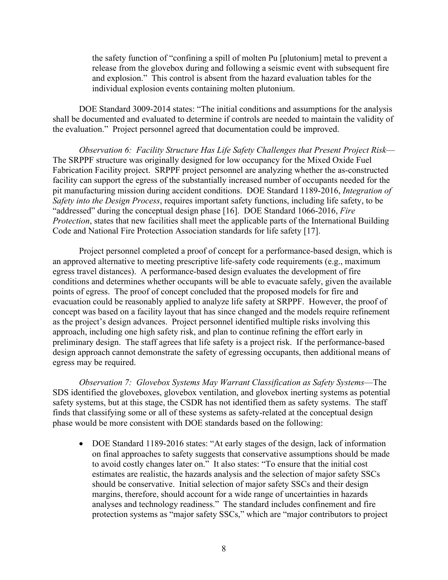the safety function of "confining a spill of molten Pu [plutonium] metal to prevent a release from the glovebox during and following a seismic event with subsequent fire and explosion." This control is absent from the hazard evaluation tables for the individual explosion events containing molten plutonium.

DOE Standard 3009-2014 states: "The initial conditions and assumptions for the analysis shall be documented and evaluated to determine if controls are needed to maintain the validity of the evaluation." Project personnel agreed that documentation could be improved.

*Observation 6: Facility Structure Has Life Safety Challenges that Present Project Risk*— The SRPPF structure was originally designed for low occupancy for the Mixed Oxide Fuel Fabrication Facility project. SRPPF project personnel are analyzing whether the as-constructed facility can support the egress of the substantially increased number of occupants needed for the pit manufacturing mission during accident conditions. DOE Standard 1189‑2016, *Integration of Safety into the Design Process*, requires important safety functions, including life safety, to be "addressed" during the conceptual design phase [16]. DOE Standard 1066‑2016, *Fire Protection*, states that new facilities shall meet the applicable parts of the International Building Code and National Fire Protection Association standards for life safety [17].

Project personnel completed a proof of concept for a performance-based design, which is an approved alternative to meeting prescriptive life-safety code requirements (e.g., maximum egress travel distances). A performance-based design evaluates the development of fire conditions and determines whether occupants will be able to evacuate safely, given the available points of egress. The proof of concept concluded that the proposed models for fire and evacuation could be reasonably applied to analyze life safety at SRPPF. However, the proof of concept was based on a facility layout that has since changed and the models require refinement as the project's design advances. Project personnel identified multiple risks involving this approach, including one high safety risk, and plan to continue refining the effort early in preliminary design. The staff agrees that life safety is a project risk. If the performance-based design approach cannot demonstrate the safety of egressing occupants, then additional means of egress may be required.

*Observation 7: Glovebox Systems May Warrant Classification as Safety Systems*—The SDS identified the gloveboxes, glovebox ventilation, and glovebox inerting systems as potential safety systems, but at this stage, the CSDR has not identified them as safety systems. The staff finds that classifying some or all of these systems as safety-related at the conceptual design phase would be more consistent with DOE standards based on the following:

• DOE Standard 1189-2016 states: "At early stages of the design, lack of information on final approaches to safety suggests that conservative assumptions should be made to avoid costly changes later on." It also states: "To ensure that the initial cost estimates are realistic, the hazards analysis and the selection of major safety SSCs should be conservative. Initial selection of major safety SSCs and their design margins, therefore, should account for a wide range of uncertainties in hazards analyses and technology readiness." The standard includes confinement and fire protection systems as "major safety SSCs," which are "major contributors to project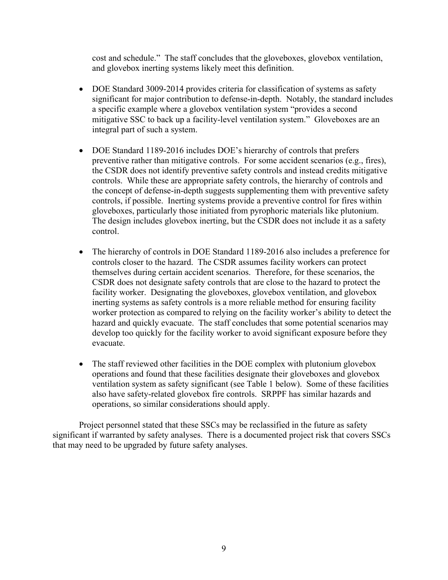cost and schedule." The staff concludes that the gloveboxes, glovebox ventilation, and glovebox inerting systems likely meet this definition.

- DOE Standard 3009-2014 provides criteria for classification of systems as safety significant for major contribution to defense-in-depth. Notably, the standard includes a specific example where a glovebox ventilation system "provides a second mitigative SSC to back up a facility-level ventilation system." Gloveboxes are an integral part of such a system.
- DOE Standard 1189-2016 includes DOE's hierarchy of controls that prefers preventive rather than mitigative controls. For some accident scenarios (e.g., fires), the CSDR does not identify preventive safety controls and instead credits mitigative controls. While these are appropriate safety controls, the hierarchy of controls and the concept of defense-in-depth suggests supplementing them with preventive safety controls, if possible. Inerting systems provide a preventive control for fires within gloveboxes, particularly those initiated from pyrophoric materials like plutonium. The design includes glovebox inerting, but the CSDR does not include it as a safety control.
- The hierarchy of controls in DOE Standard 1189-2016 also includes a preference for controls closer to the hazard. The CSDR assumes facility workers can protect themselves during certain accident scenarios. Therefore, for these scenarios, the CSDR does not designate safety controls that are close to the hazard to protect the facility worker. Designating the gloveboxes, glovebox ventilation, and glovebox inerting systems as safety controls is a more reliable method for ensuring facility worker protection as compared to relying on the facility worker's ability to detect the hazard and quickly evacuate. The staff concludes that some potential scenarios may develop too quickly for the facility worker to avoid significant exposure before they evacuate.
- The staff reviewed other facilities in the DOE complex with plutonium glovebox operations and found that these facilities designate their gloveboxes and glovebox ventilation system as safety significant (see Table 1 below). Some of these facilities also have safety-related glovebox fire controls. SRPPF has similar hazards and operations, so similar considerations should apply.

Project personnel stated that these SSCs may be reclassified in the future as safety significant if warranted by safety analyses. There is a documented project risk that covers SSCs that may need to be upgraded by future safety analyses.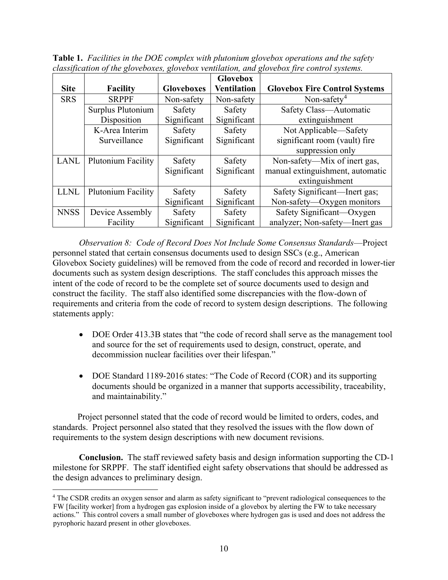|             |                    |                   | <b>Glovebox</b>    |                                      |
|-------------|--------------------|-------------------|--------------------|--------------------------------------|
| <b>Site</b> | <b>Facility</b>    | <b>Gloveboxes</b> | <b>Ventilation</b> | <b>Glovebox Fire Control Systems</b> |
| <b>SRS</b>  | <b>SRPPF</b>       | Non-safety        | Non-safety         | Non-safety <sup>4</sup>              |
|             | Surplus Plutonium  | Safety            | Safety             | Safety Class-Automatic               |
|             | Disposition        | Significant       | Significant        | extinguishment                       |
|             | K-Area Interim     | Safety            | Safety             | Not Applicable—Safety                |
|             | Surveillance       | Significant       | Significant        | significant room (vault) fire        |
|             |                    |                   |                    | suppression only                     |
| <b>LANL</b> | Plutonium Facility | Safety            | Safety             | Non-safety—Mix of inert gas,         |
|             |                    | Significant       | Significant        | manual extinguishment, automatic     |
|             |                    |                   |                    | extinguishment                       |
| <b>LLNL</b> | Plutonium Facility | Safety            | Safety             | Safety Significant—Inert gas;        |
|             |                    | Significant       | Significant        | Non-safety—Oxygen monitors           |
| <b>NNSS</b> | Device Assembly    | Safety            | Safety             | Safety Significant—Oxygen            |
|             | Facility           | Significant       | Significant        | analyzer; Non-safety—Inert gas       |

**Table 1.** *Facilities in the DOE complex with plutonium glovebox operations and the safety classification of the gloveboxes, glovebox ventilation, and glovebox fire control systems.*

*Observation 8: Code of Record Does Not Include Some Consensus Standards*—Project personnel stated that certain consensus documents used to design SSCs (e.g., American Glovebox Society guidelines) will be removed from the code of record and recorded in lower-tier documents such as system design descriptions. The staff concludes this approach misses the intent of the code of record to be the complete set of source documents used to design and construct the facility. The staff also identified some discrepancies with the flow-down of requirements and criteria from the code of record to system design descriptions. The following statements apply:

- DOE Order 413.3B states that "the code of record shall serve as the management tool and source for the set of requirements used to design, construct, operate, and decommission nuclear facilities over their lifespan."
- DOE Standard 1189-2016 states: "The Code of Record (COR) and its supporting documents should be organized in a manner that supports accessibility, traceability, and maintainability."

Project personnel stated that the code of record would be limited to orders, codes, and standards. Project personnel also stated that they resolved the issues with the flow down of requirements to the system design descriptions with new document revisions.

**Conclusion.** The staff reviewed safety basis and design information supporting the CD-1 milestone for SRPPF. The staff identified eight safety observations that should be addressed as the design advances to preliminary design.

<span id="page-10-0"></span><sup>&</sup>lt;sup>4</sup> The CSDR credits an oxygen sensor and alarm as safety significant to "prevent radiological consequences to the FW [facility worker] from a hydrogen gas explosion inside of a glovebox by alerting the FW to take necessary actions." This control covers a small number of gloveboxes where hydrogen gas is used and does not address the pyrophoric hazard present in other gloveboxes.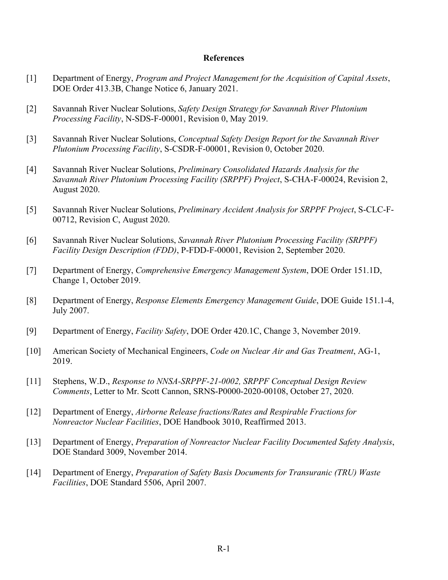#### **References**

- [1] Department of Energy, *Program and Project Management for the Acquisition of Capital Assets*, DOE Order 413.3B, Change Notice 6, January 2021.
- [2] Savannah River Nuclear Solutions, *Safety Design Strategy for Savannah River Plutonium Processing Facility*, N-SDS-F-00001, Revision 0, May 2019.
- [3] Savannah River Nuclear Solutions, *Conceptual Safety Design Report for the Savannah River Plutonium Processing Facility*, S-CSDR-F-00001, Revision 0, October 2020.
- [4] Savannah River Nuclear Solutions, *Preliminary Consolidated Hazards Analysis for the Savannah River Plutonium Processing Facility (SRPPF) Project*, S-CHA-F-00024, Revision 2, August 2020.
- [5] Savannah River Nuclear Solutions, *Preliminary Accident Analysis for SRPPF Project*, S-CLC-F-00712, Revision C, August 2020.
- [6] Savannah River Nuclear Solutions, *Savannah River Plutonium Processing Facility (SRPPF) Facility Design Description (FDD)*, P-FDD-F-00001, Revision 2, September 2020.
- [7] Department of Energy, *Comprehensive Emergency Management System*, DOE Order 151.1D, Change 1, October 2019.
- [8] Department of Energy, *Response Elements Emergency Management Guide*, DOE Guide 151.1-4, July 2007.
- [9] Department of Energy, *Facility Safety*, DOE Order 420.1C, Change 3, November 2019.
- [10] American Society of Mechanical Engineers, *Code on Nuclear Air and Gas Treatment*, AG-1, 2019.
- [11] Stephens, W.D., *Response to NNSA-SRPPF-21-0002, SRPPF Conceptual Design Review Comments*, Letter to Mr. Scott Cannon, SRNS-P0000-2020-00108, October 27, 2020.
- [12] Department of Energy, *Airborne Release fractions/Rates and Respirable Fractions for Nonreactor Nuclear Facilities*, DOE Handbook 3010, Reaffirmed 2013.
- [13] Department of Energy, *Preparation of Nonreactor Nuclear Facility Documented Safety Analysis*, DOE Standard 3009, November 2014.
- [14] Department of Energy, *Preparation of Safety Basis Documents for Transuranic (TRU) Waste Facilities*, DOE Standard 5506, April 2007.